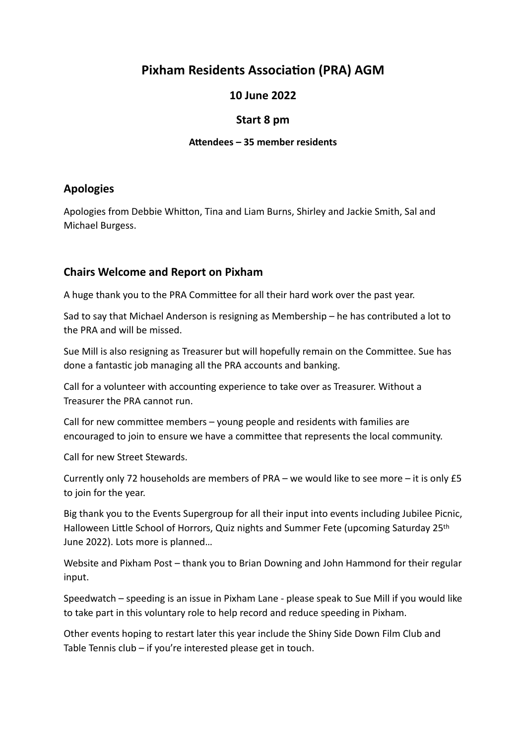# **Pixham Residents Association (PRA) AGM**

### **10 June 2022**

#### **Start 8 pm**

#### **Attendees – 35 member residents**

### **Apologies**

Apologies from Debbie Whitton, Tina and Liam Burns, Shirley and Jackie Smith, Sal and Michael Burgess.

### **Chairs Welcome and Report on Pixham**

A huge thank you to the PRA Committee for all their hard work over the past year.

Sad to say that Michael Anderson is resigning as Membership – he has contributed a lot to the PRA and will be missed.

Sue Mill is also resigning as Treasurer but will hopefully remain on the Committee. Sue has done a fantastic job managing all the PRA accounts and banking.

Call for a volunteer with accounting experience to take over as Treasurer. Without a Treasurer the PRA cannot run.

Call for new committee members – young people and residents with families are encouraged to join to ensure we have a committee that represents the local community.

Call for new Street Stewards.

Currently only 72 households are members of PRA – we would like to see more – it is only £5 to join for the year.

Big thank you to the Events Supergroup for all their input into events including Jubilee Picnic, Halloween Little School of Horrors, Quiz nights and Summer Fete (upcoming Saturday 25<sup>th</sup> June 2022). Lots more is planned…

Website and Pixham Post – thank you to Brian Downing and John Hammond for their regular input.

Speedwatch – speeding is an issue in Pixham Lane - please speak to Sue Mill if you would like to take part in this voluntary role to help record and reduce speeding in Pixham.

Other events hoping to restart later this year include the Shiny Side Down Film Club and Table Tennis club – if you're interested please get in touch.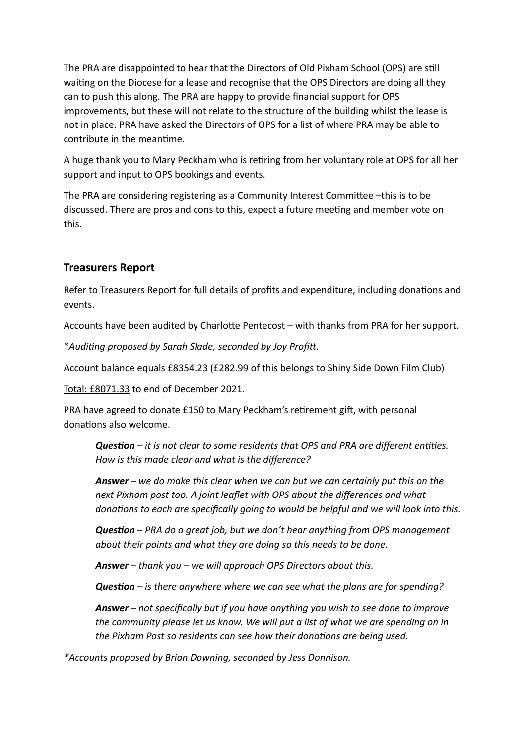The PRA are disappointed to hear that the Directors of Old Pixham School (OPS) are still waiting on the Diocese for a lease and recognise that the OPS Directors are doing all they can to push this along. The PRA are happy to provide financial support for OPS improvements, but these will not relate to the structure of the building whilst the lease is not in place. PRA have asked the Directors of OPS for a list of where PRA may be able to contribute in the meantime.

A huge thank you to Mary Peckham who is retiring from her voluntary role at OPS for all her support and input to OPS bookings and events.

The PRA are considering registering as a Community Interest Committee –this is to be discussed. There are pros and cons to this, expect a future meeting and member vote on this.

### **Treasurers Report**

Refer to Treasurers Report for full details of profits and expenditure, including donations and events.

Accounts have been audited by Charlotte Pentecost – with thanks from PRA for her support.

\**Auditing proposed by Sarah Slade, seconded by Joy Profitt.* 

Account balance equals £8354.23 (£282.99 of this belongs to Shiny Side Down Film Club)

Total: £8071.33 to end of December 2021.

PRA have agreed to donate £150 to Mary Peckham's retirement gift, with personal donations also welcome.

*Question – it is not clear to some residents that OPS and PRA are different entities. How is this made clear and what is the difference?* 

*Answer – we do make this clear when we can but we can certainly put this on the next Pixham post too. A joint leaflet with OPS about the differences and what donations to each are specifically going to would be helpful and we will look into this.*

*Question – PRA do a great job, but we don't hear anything from OPS management about their points and what they are doing so this needs to be done.*

*Answer – thank you – we will approach OPS Directors about this.* 

*Question – is there anywhere where we can see what the plans are for spending?* 

*Answer – not specifically but if you have anything you wish to see done to improve the community please let us know. We will put a list of what we are spending on in the Pixham Post so residents can see how their donations are being used.* 

*\*Accounts proposed by Brian Downing, seconded by Jess Donnison.*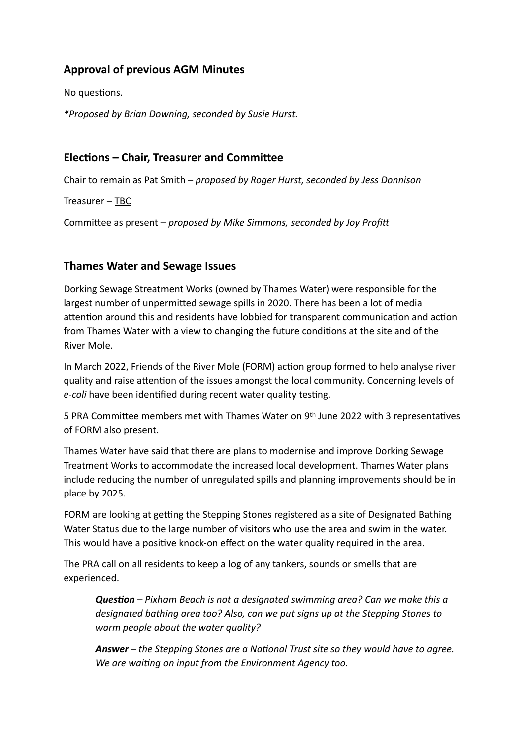# **Approval of previous AGM Minutes**

No questions.

*\*Proposed by Brian Downing, seconded by Susie Hurst.*

#### **Elections – Chair, Treasurer and Committee**

Chair to remain as Pat Smith – *proposed by Roger Hurst, seconded by Jess Donnison*

Treasurer – TBC

Committee as present – *proposed by Mike Simmons, seconded by Joy Profit*

#### **Thames Water and Sewage Issues**

Dorking Sewage Streatment Works (owned by Thames Water) were responsible for the largest number of unpermitted sewage spills in 2020. There has been a lot of media attention around this and residents have lobbied for transparent communication and action from Thames Water with a view to changing the future conditions at the site and of the River Mole.

In March 2022, Friends of the River Mole (FORM) action group formed to help analyse river quality and raise attention of the issues amongst the local community. Concerning levels of *e-coli* have been identified during recent water quality testing.

5 PRA Committee members met with Thames Water on 9th June 2022 with 3 representatives of FORM also present.

Thames Water have said that there are plans to modernise and improve Dorking Sewage Treatment Works to accommodate the increased local development. Thames Water plans include reducing the number of unregulated spills and planning improvements should be in place by 2025.

FORM are looking at getting the Stepping Stones registered as a site of Designated Bathing Water Status due to the large number of visitors who use the area and swim in the water. This would have a positive knock-on effect on the water quality required in the area.

The PRA call on all residents to keep a log of any tankers, sounds or smells that are experienced.

*Question – Pixham Beach is not a designated swimming area? Can we make this a designated bathing area too? Also, can we put signs up at the Stepping Stones to warm people about the water quality?* 

*Answer – the Stepping Stones are a National Trust site so they would have to agree. We are waiting on input from the Environment Agency too.*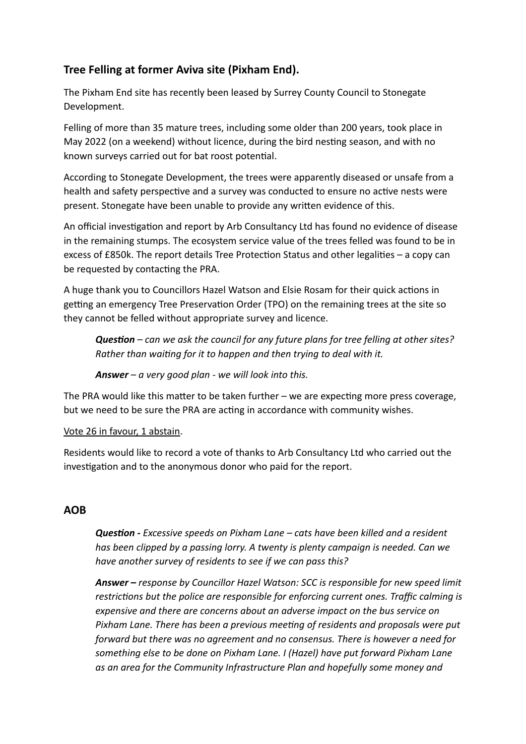# **Tree Felling at former Aviva site (Pixham End).**

The Pixham End site has recently been leased by Surrey County Council to Stonegate Development.

Felling of more than 35 mature trees, including some older than 200 years, took place in May 2022 (on a weekend) without licence, during the bird nesting season, and with no known surveys carried out for bat roost potential.

According to Stonegate Development, the trees were apparently diseased or unsafe from a health and safety perspective and a survey was conducted to ensure no active nests were present. Stonegate have been unable to provide any written evidence of this.

An official investigation and report by Arb Consultancy Ltd has found no evidence of disease in the remaining stumps. The ecosystem service value of the trees felled was found to be in excess of £850k. The report details Tree Protection Status and other legalities – a copy can be requested by contacting the PRA.

A huge thank you to Councillors Hazel Watson and Elsie Rosam for their quick actions in getting an emergency Tree Preservation Order (TPO) on the remaining trees at the site so they cannot be felled without appropriate survey and licence.

*Question – can we ask the council for any future plans for tree felling at other sites? Rather than waiting for it to happen and then trying to deal with it.* 

*Answer – a very good plan - we will look into this.* 

The PRA would like this matter to be taken further – we are expecting more press coverage, but we need to be sure the PRA are acting in accordance with community wishes.

Vote 26 in favour, 1 abstain.

Residents would like to record a vote of thanks to Arb Consultancy Ltd who carried out the investigation and to the anonymous donor who paid for the report.

# **AOB**

*Question - Excessive speeds on Pixham Lane – cats have been killed and a resident has been clipped by a passing lorry. A twenty is plenty campaign is needed. Can we have another survey of residents to see if we can pass this?* 

*Answer – response by Councillor Hazel Watson: SCC is responsible for new speed limit restrictions but the police are responsible for enforcing current ones. Traffic calming is expensive and there are concerns about an adverse impact on the bus service on Pixham Lane. There has been a previous meeting of residents and proposals were put forward but there was no agreement and no consensus. There is however a need for something else to be done on Pixham Lane. I (Hazel) have put forward Pixham Lane as an area for the Community Infrastructure Plan and hopefully some money and*